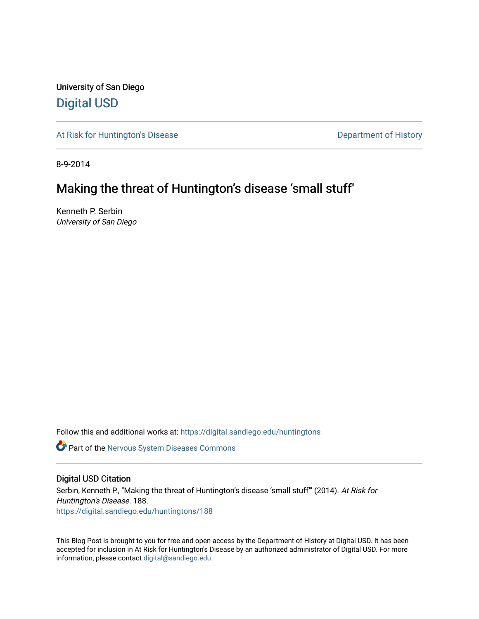University of San Diego [Digital USD](https://digital.sandiego.edu/)

[At Risk for Huntington's Disease](https://digital.sandiego.edu/huntingtons) **Department of History** Department of History

8-9-2014

## Making the threat of Huntington's disease 'small stuff'

Kenneth P. Serbin University of San Diego

Follow this and additional works at: [https://digital.sandiego.edu/huntingtons](https://digital.sandiego.edu/huntingtons?utm_source=digital.sandiego.edu%2Fhuntingtons%2F188&utm_medium=PDF&utm_campaign=PDFCoverPages)

Part of the [Nervous System Diseases Commons](http://network.bepress.com/hgg/discipline/928?utm_source=digital.sandiego.edu%2Fhuntingtons%2F188&utm_medium=PDF&utm_campaign=PDFCoverPages)

### Digital USD Citation

Serbin, Kenneth P., "Making the threat of Huntington's disease 'small stuff" (2014). At Risk for Huntington's Disease. 188. [https://digital.sandiego.edu/huntingtons/188](https://digital.sandiego.edu/huntingtons/188?utm_source=digital.sandiego.edu%2Fhuntingtons%2F188&utm_medium=PDF&utm_campaign=PDFCoverPages)

This Blog Post is brought to you for free and open access by the Department of History at Digital USD. It has been accepted for inclusion in At Risk for Huntington's Disease by an authorized administrator of Digital USD. For more information, please contact [digital@sandiego.edu.](mailto:digital@sandiego.edu)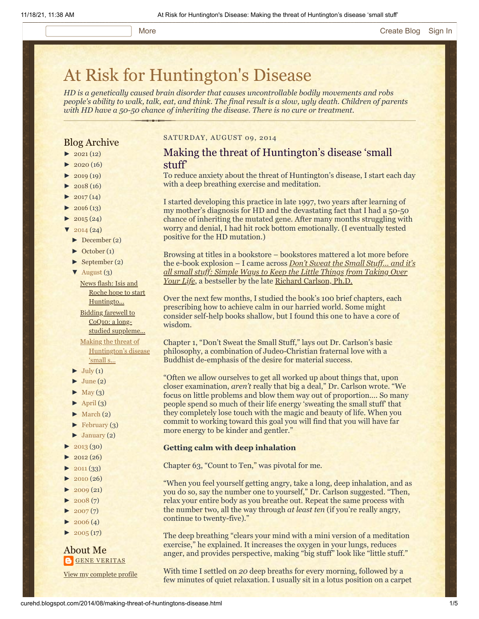# [At Risk for Huntington's Disease](http://curehd.blogspot.com/)

*HD is a genetically caused brain disorder that causes uncontrollable bodily movements and robs people's ability to walk, talk, eat, and think. The final result is a slow, ugly death. Children of parents with HD have a 50-50 chance of inheriting the disease. There is no cure or treatment.*

### Blog Archive

- $\blacktriangleright$  [2021](http://curehd.blogspot.com/2021/) (12)
- $2020(16)$  $2020(16)$
- $2019(19)$  $2019(19)$
- $\blacktriangleright$  [2018](http://curehd.blogspot.com/2018/) (16)
- $2017(14)$  $2017(14)$
- $2016(13)$  $2016(13)$
- $\blacktriangleright$  [2015](http://curehd.blogspot.com/2015/) (24)
- $\frac{2014(24)}{201}$  $\frac{2014(24)}{201}$  $\frac{2014(24)}{201}$
- [►](javascript:void(0)) [December](http://curehd.blogspot.com/2014/12/) (2)
- [►](javascript:void(0)) [October](http://curehd.blogspot.com/2014/10/) (1)
- [►](javascript:void(0)) [September](http://curehd.blogspot.com/2014/09/) (2)
- $\blacktriangledown$  [August](http://curehd.blogspot.com/2014/08/)  $(3)$

News flash: Isis and Roche hope to start [Huntingto...](http://curehd.blogspot.com/2014/08/news-flash-isis-and-roche-hope-to-start.html) Bidding farewell to CoQ10: a long-

studied [suppleme...](http://curehd.blogspot.com/2014/08/bidding-farewell-to-coq10-long-studied.html) Making the threat of [Huntington's](http://curehd.blogspot.com/2014/08/making-threat-of-huntingtons-disease.html) disease 'small s...

- $\blacktriangleright$  [July](http://curehd.blogspot.com/2014/07/) (1)
- $June (2)$  $June (2)$
- $\blacktriangleright$  [May](http://curehd.blogspot.com/2014/05/) (3)
- $\blacktriangleright$  [April](http://curehd.blogspot.com/2014/04/) (3)
- $\blacktriangleright$  [March](http://curehd.blogspot.com/2014/03/) (2)
- $\blacktriangleright$  [February](http://curehd.blogspot.com/2014/02/) (3)
- $\blacktriangleright$  [January](http://curehd.blogspot.com/2014/01/) (2)
- [►](javascript:void(0)) [2013](http://curehd.blogspot.com/2013/) (30)
- $2012(26)$  $2012(26)$
- $2011(33)$  $2011(33)$
- $\blacktriangleright$  [2010](http://curehd.blogspot.com/2010/) (26)
- $2009(21)$  $2009(21)$
- $2008(7)$  $2008(7)$
- $2007(7)$  $2007(7)$
- $\blacktriangleright$  [2006](http://curehd.blogspot.com/2006/) (4)
- $\blacktriangleright$  [2005](http://curehd.blogspot.com/2005/) (17)

About Me **GENE [VERITAS](https://www.blogger.com/profile/10911736205741688185)** 

View my [complete](https://www.blogger.com/profile/10911736205741688185) profile

### SATURDAY, AUGUST 09, 2014

### Making the threat of Huntington's disease 'small stuff'

To reduce anxiety about the threat of Huntington's disease, I start each day with a deep breathing exercise and meditation.

I started developing this practice in late 1997, two years after learning of my mother's diagnosis for HD and the devastating fact that I had a 50-50 chance of inheriting the mutated gene. After many months struggling with worry and denial, I had hit rock bottom emotionally. (I eventually tested positive for the HD mutation.)

Browsing at titles in a bookstore – bookstores mattered a lot more before the e-book explosion – I came across *Don't Sweat the Small Stuff… and it's [all small stuff: Simple Ways to Keep the Little Things from Taking Over](http://www.amazon.com/Dont-Sweat-Small-Stuff-Its-ebook/dp/B000FC1VX8/ref=sr_1_2?s=books&ie=UTF8&qid=1407646446&sr=1-2&keywords=don%27t+sweat+the+small+stuff+and+it%27s+all+small+stuff) Your Life*, a bestseller by the late [Richard Carlson, Ph.D.](http://www.sfgate.com/bayarea/article/RICHARD-CARLSON-1961-2006-Don-t-Sweat-Small-2482806.php)

Over the next few months, I studied the book's 100 brief chapters, each prescribing how to achieve calm in our harried world. Some might consider self-help books shallow, but I found this one to have a core of wisdom.

Chapter 1, "Don't Sweat the Small Stuff," lays out Dr. Carlson's basic philosophy, a combination of Judeo-Christian fraternal love with a Buddhist de-emphasis of the desire for material success.

"Often we allow ourselves to get all worked up about things that, upon closer examination, *aren't* really that big a deal," Dr. Carlson wrote. "We focus on little problems and blow them way out of proportion…. So many people spend so much of their life energy 'sweating the small stuff' that they completely lose touch with the magic and beauty of life. When you commit to working toward this goal you will find that you will have far more energy to be kinder and gentler."

### **Getting calm with deep inhalation**

Chapter 63, "Count to Ten," was pivotal for me.

"When you feel yourself getting angry, take a long, deep inhalation, and as you do so, say the number one to yourself," Dr. Carlson suggested. "Then, relax your entire body as you breathe out. Repeat the same process with the number two, all the way through *at least ten* (if you're really angry, continue to twenty-five)."

The deep breathing "clears your mind with a mini version of a meditation exercise," he explained. It increases the oxygen in your lungs, reduces anger, and provides perspective, making "big stuff" look like "little stuff."

With time I settled on *20* deep breaths for every morning, followed by a few minutes of quiet relaxation. I usually sit in a lotus position on a carpet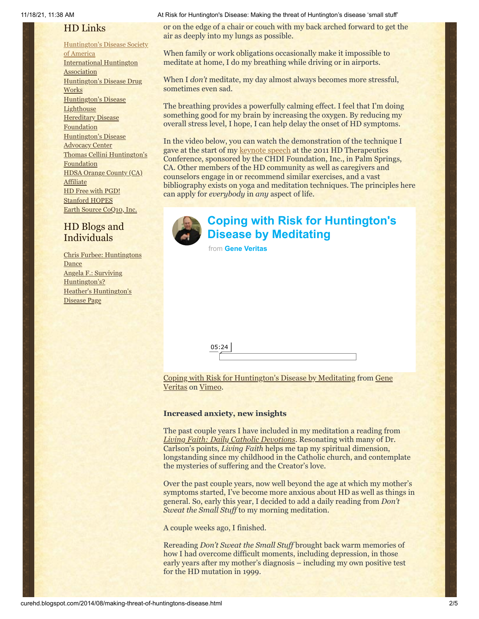### HD Links

#### [Huntington's](http://www.hdsa.org/) Disease Society

of America [International](http://www.huntington-assoc.com/) Huntington **Association** [Huntington's](http://hddrugworks.org/) Disease Drug **Works** [Huntington's](http://www.hdlighthouse.org/) Disease **Lighthouse Hereditary Disease [Foundation](http://www.hdfoundation.org/)** [Huntington's](http://www.hdac.org/) Disease Advocacy Center Thomas [Cellini Huntington's](http://www.ourtchfoundation.org/) **Foundation** HDSA Orange County (CA) **[Affiliate](http://www.hdsaoc.org/)** HD Free with [PGD!](http://www.hdfreewithpgd.com/) [Stanford](http://www.stanford.edu/group/hopes/) HOPES Earth Source [CoQ10,](http://www.escoq10.com/) Inc.

### HD Blogs and Individuals

Chris Furbee: [Huntingtons](http://www.huntingtonsdance.org/) Dance Angela F.: Surviving [Huntington's?](http://survivinghuntingtons.blogspot.com/) Heather's [Huntington's](http://heatherdugdale.angelfire.com/) Disease Page

11/18/21, 11:38 AM At Risk for Huntington's Disease: Making the threat of Huntington's disease 'small stuff'

or on the edge of a chair or couch with my back arched forward to get the air as deeply into my lungs as possible.

When family or work obligations occasionally make it impossible to meditate at home, I do my breathing while driving or in airports.

When I *don't* meditate, my day almost always becomes more stressful, sometimes even sad.

The breathing provides a powerfully calming effect. I feel that I'm doing something good for my brain by increasing the oxygen. By reducing my overall stress level, I hope, I can help delay the onset of HD symptoms.

In the video below, you can watch the demonstration of the technique I gave at the start of my [keynote speech](http://curehd.blogspot.com/2011/02/unmasking-gene-veritas-huntingtons.html) at the 2011 HD Therapeutics Conference, sponsored by the CHDI Foundation, Inc., in Palm Springs, CA. Other members of the HD community as well as caregivers and counselors engage in or recommend similar exercises, and a vast bibliography exists on yoga and meditation techniques. The principles here can apply for *everybody* in *any* aspect of life.



### **[Coping with Risk for Huntington's](https://vimeo.com/102682056?embedded=true&source=video_title&owner=6019843) Disease by Meditating**

from **[Gene Veritas](https://vimeo.com/user6019843?embedded=true&source=owner_name&owner=6019843)**

[Coping with Risk for Huntington](http://vimeo.com/user6019843)['](http://vimeo.com/102682056)[s Disease by Meditating from Gene](http://vimeo.com/user6019843) Veritas on [Vimeo](https://vimeo.com/).

### **Increased anxiety, new insights**

The past couple years I have included in my meditation a reading from *[Living Faith: Daily Catholic Devotions](http://www.amazon.com/Living-Faith-Catholic-Devotions-September-ebook/dp/B00KD3OXQG/ref=sr_1_1?s=books&ie=UTF8&qid=1407646942&sr=1-1&keywords=living+faith+-+daily+catholic+devotions)*. Resonating with many of Dr. Carlson's points, *Living Faith* helps me tap my spiritual dimension, longstanding since my childhood in the Catholic church, and contemplate the mysteries of suffering and the Creator's love.

Over the past couple years, now well beyond the age at which my mother's symptoms started, I've become more anxious about HD as well as things in general. So, early this year, I decided to add a daily reading from *Don't Sweat the Small Stuff* to my morning meditation.

A couple weeks ago, I finished.

Rereading *Don't Sweat the Small Stuff* brought back warm memories of how I had overcome difficult moments, including depression, in those early years after my mother's diagnosis – including my own positive test for the HD mutation in 1999.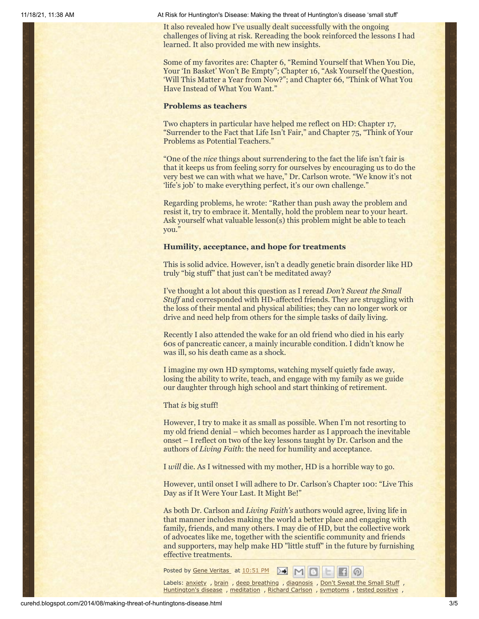11/18/21, 11:38 AM At Risk for Huntington's Disease: Making the threat of Huntington's disease 'small stuff'

It also revealed how I've usually dealt successfully with the ongoing challenges of living at risk. Rereading the book reinforced the lessons I had learned. It also provided me with new insights.

Some of my favorites are: Chapter 6, "Remind Yourself that When You Die, Your 'In Basket' Won't Be Empty"; Chapter 16, "Ask Yourself the Question, 'Will This Matter a Year from Now?"; and Chapter 66, "Think of What You Have Instead of What You Want."

### **Problems as teachers**

Two chapters in particular have helped me reflect on HD: Chapter 17, "Surrender to the Fact that Life Isn't Fair," and Chapter 75, "Think of Your Problems as Potential Teachers."

"One of the *nice* things about surrendering to the fact the life isn't fair is that it keeps us from feeling sorry for ourselves by encouraging us to do the very best we can with what we have," Dr. Carlson wrote. "We know it's not 'life's job' to make everything perfect, it's our own challenge."

Regarding problems, he wrote: "Rather than push away the problem and resist it, try to embrace it. Mentally, hold the problem near to your heart. Ask yourself what valuable lesson(s) this problem might be able to teach you."

#### **Humility, acceptance, and hope for treatments**

This is solid advice. However, isn't a deadly genetic brain disorder like HD truly "big stuff" that just can't be meditated away?

I've thought a lot about this question as I reread *Don't Sweat the Small Stuff* and corresponded with HD-affected friends. They are struggling with the loss of their mental and physical abilities; they can no longer work or drive and need help from others for the simple tasks of daily living.

Recently I also attended the wake for an old friend who died in his early 60s of pancreatic cancer, a mainly incurable condition. I didn't know he was ill, so his death came as a shock.

I imagine my own HD symptoms, watching myself quietly fade away, losing the ability to write, teach, and engage with my family as we guide our daughter through high school and start thinking of retirement.

That *is* big stuff!

However, I try to make it as small as possible. When I'm not resorting to my old friend denial – which becomes harder as I approach the inevitable onset – I reflect on two of the key lessons taught by Dr. Carlson and the authors of *Living Faith*: the need for humility and acceptance.

I *will* die. As I witnessed with my mother, HD is a horrible way to go.

However, until onset I will adhere to Dr. Carlson's Chapter 100: "Live This Day as if It Were Your Last. It Might Be!"

As both Dr. Carlson and *Living Faith's* authors would agree, living life in that manner includes making the world a better place and engaging with family, friends, and many others. I may die of HD, but the collective work of advocates like me, together with the scientific community and friends and supporters, may help make HD "little stuff" in the future by furnishing effective treatments.

Posted by Gene [Veritas](https://www.blogger.com/profile/03599828959793084715) at [10:51](http://curehd.blogspot.com/2014/08/making-threat-of-huntingtons-disease.html) PM ▷€  $M$ 

Labels: [anxiety](http://curehd.blogspot.com/search/label/anxiety) , [brain](http://curehd.blogspot.com/search/label/brain) , deep [breathing](http://curehd.blogspot.com/search/label/deep%20breathing) , [diagnosis](http://curehd.blogspot.com/search/label/diagnosis) , Don't [Sweat](http://curehd.blogspot.com/search/label/Don%27t%20Sweat%20the%20Small%20Stuff) the Small Stuff , [Huntington's](http://curehd.blogspot.com/search/label/Huntington%27s%20disease) disease , [meditation](http://curehd.blogspot.com/search/label/meditation) , [Richard](http://curehd.blogspot.com/search/label/Richard%20Carlson) Carlson , [symptoms](http://curehd.blogspot.com/search/label/symptoms) , tested [positive](http://curehd.blogspot.com/search/label/tested%20positive) ,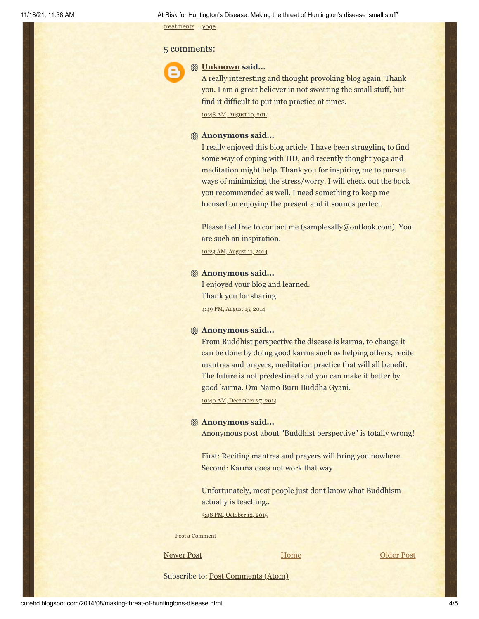[treatments](http://curehd.blogspot.com/search/label/treatments) , [yoga](http://curehd.blogspot.com/search/label/yoga)

### 5 comments:



### **[Unknown](https://www.blogger.com/profile/00632093300925273518) said...**

A really interesting and thought provoking blog again. Thank you. I am a great believer in not sweating the small stuff, but find it difficult to put into practice at times. 10:48 AM, [August](http://curehd.blogspot.com/2014/08/making-threat-of-huntingtons-disease.html?showComment=1407692938670#c6906453632160878543) 10, 2014

### **Anonymous said...**

I really enjoyed this blog article. I have been struggling to find some way of coping with HD, and recently thought yoga and meditation might help. Thank you for inspiring me to pursue ways of minimizing the stress/worry. I will check out the book you recommended as well. I need something to keep me focused on enjoying the present and it sounds perfect.

Please feel free to contact me (samplesally@outlook.com). You are such an inspiration.

10:23 AM, [August](http://curehd.blogspot.com/2014/08/making-threat-of-huntingtons-disease.html?showComment=1407777810048#c3271396374120668361) 11, 2014

### **Anonymous said...**

I enjoyed your blog and learned. Thank you for sharing 4:49 PM, [August](http://curehd.blogspot.com/2014/08/making-threat-of-huntingtons-disease.html?showComment=1408146581150#c5808967442855887372) 15, 2014

### **Anonymous said...**

From Buddhist perspective the disease is karma, to change it can be done by doing good karma such as helping others, recite mantras and prayers, meditation practice that will all benefit. The future is not predestined and you can make it better by good karma. Om Namo Buru Buddha Gyani.

10:40 AM, [December](http://curehd.blogspot.com/2014/08/making-threat-of-huntingtons-disease.html?showComment=1419705620966#c6088636414319737326) 27, 2014

### **Anonymous said...**

Anonymous post about "Buddhist perspective" is totally wrong!

First: Reciting mantras and prayers will bring you nowhere. Second: Karma does not work that way

Unfortunately, most people just dont know what Buddhism actually is teaching..

3:48 PM, [October](http://curehd.blogspot.com/2014/08/making-threat-of-huntingtons-disease.html?showComment=1444690120850#c3863889591368235385) 12, 2015

Post a [Comment](https://www.blogger.com/comment.g?blogID=10081281&postID=8885798859932575026&isPopup=true)

[Newer Post](http://curehd.blogspot.com/2014/08/bidding-farewell-to-coq10-long-studied.html) **Newer Post [Older Post](http://curehd.blogspot.com/2014/07/can-we-afford-costs-of-orphan-disease.html) Older Post** 

[Home](http://curehd.blogspot.com/)

Subscribe to: [Post Comments \(Atom\)](http://curehd.blogspot.com/feeds/8885798859932575026/comments/default)